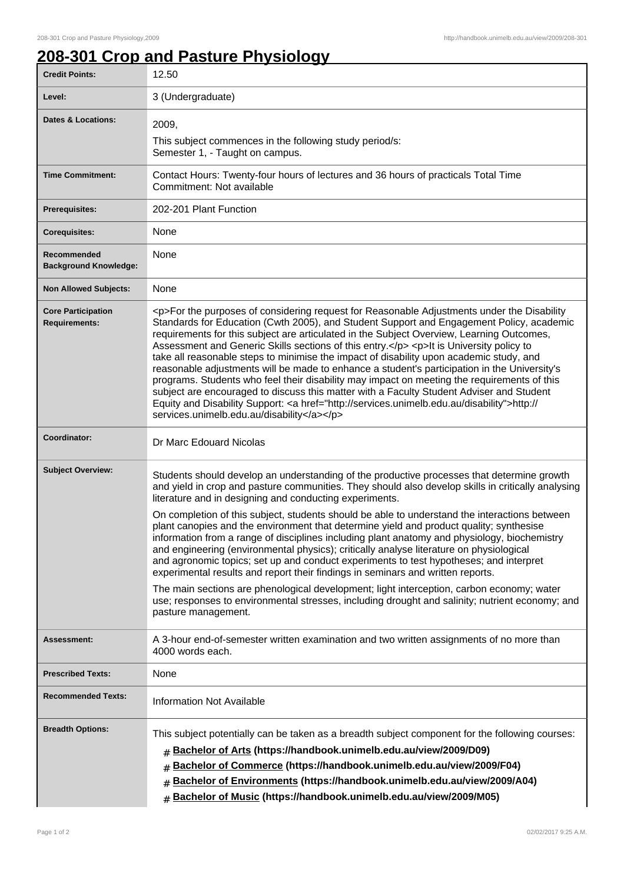## **208-301 Crop and Pasture Physiology**

| <b>Credit Points:</b>                             | 12.50                                                                                                                                                                                                                                                                                                                                                                                                                                                                                                                                                                                                                                                                                                                                                                                                                                                                                                                        |
|---------------------------------------------------|------------------------------------------------------------------------------------------------------------------------------------------------------------------------------------------------------------------------------------------------------------------------------------------------------------------------------------------------------------------------------------------------------------------------------------------------------------------------------------------------------------------------------------------------------------------------------------------------------------------------------------------------------------------------------------------------------------------------------------------------------------------------------------------------------------------------------------------------------------------------------------------------------------------------------|
| Level:                                            | 3 (Undergraduate)                                                                                                                                                                                                                                                                                                                                                                                                                                                                                                                                                                                                                                                                                                                                                                                                                                                                                                            |
| <b>Dates &amp; Locations:</b>                     | 2009,                                                                                                                                                                                                                                                                                                                                                                                                                                                                                                                                                                                                                                                                                                                                                                                                                                                                                                                        |
|                                                   | This subject commences in the following study period/s:<br>Semester 1, - Taught on campus.                                                                                                                                                                                                                                                                                                                                                                                                                                                                                                                                                                                                                                                                                                                                                                                                                                   |
| <b>Time Commitment:</b>                           | Contact Hours: Twenty-four hours of lectures and 36 hours of practicals Total Time<br>Commitment: Not available                                                                                                                                                                                                                                                                                                                                                                                                                                                                                                                                                                                                                                                                                                                                                                                                              |
| <b>Prerequisites:</b>                             | 202-201 Plant Function                                                                                                                                                                                                                                                                                                                                                                                                                                                                                                                                                                                                                                                                                                                                                                                                                                                                                                       |
| <b>Corequisites:</b>                              | None                                                                                                                                                                                                                                                                                                                                                                                                                                                                                                                                                                                                                                                                                                                                                                                                                                                                                                                         |
| Recommended<br><b>Background Knowledge:</b>       | None                                                                                                                                                                                                                                                                                                                                                                                                                                                                                                                                                                                                                                                                                                                                                                                                                                                                                                                         |
| <b>Non Allowed Subjects:</b>                      | None                                                                                                                                                                                                                                                                                                                                                                                                                                                                                                                                                                                                                                                                                                                                                                                                                                                                                                                         |
| <b>Core Participation</b><br><b>Requirements:</b> | <p>For the purposes of considering request for Reasonable Adjustments under the Disability<br/>Standards for Education (Cwth 2005), and Student Support and Engagement Policy, academic<br/>requirements for this subject are articulated in the Subject Overview, Learning Outcomes,<br/>Assessment and Generic Skills sections of this entry.</p> <p>lt is University policy to<br/>take all reasonable steps to minimise the impact of disability upon academic study, and<br/>reasonable adjustments will be made to enhance a student's participation in the University's<br/>programs. Students who feel their disability may impact on meeting the requirements of this<br/>subject are encouraged to discuss this matter with a Faculty Student Adviser and Student<br/>Equity and Disability Support: &lt; a href="http://services.unimelb.edu.au/disability"&gt;http://<br/>services.unimelb.edu.au/disability</p> |
| Coordinator:                                      | Dr Marc Edouard Nicolas                                                                                                                                                                                                                                                                                                                                                                                                                                                                                                                                                                                                                                                                                                                                                                                                                                                                                                      |
| <b>Subject Overview:</b>                          | Students should develop an understanding of the productive processes that determine growth<br>and yield in crop and pasture communities. They should also develop skills in critically analysing<br>literature and in designing and conducting experiments.                                                                                                                                                                                                                                                                                                                                                                                                                                                                                                                                                                                                                                                                  |
|                                                   | On completion of this subject, students should be able to understand the interactions between<br>plant canopies and the environment that determine yield and product quality; synthesise<br>information from a range of disciplines including plant anatomy and physiology, biochemistry<br>and engineering (environmental physics); critically analyse literature on physiological<br>and agronomic topics; set up and conduct experiments to test hypotheses; and interpret<br>experimental results and report their findings in seminars and written reports.                                                                                                                                                                                                                                                                                                                                                             |
|                                                   | The main sections are phenological development; light interception, carbon economy; water<br>use; responses to environmental stresses, including drought and salinity; nutrient economy; and<br>pasture management.                                                                                                                                                                                                                                                                                                                                                                                                                                                                                                                                                                                                                                                                                                          |
| <b>Assessment:</b>                                | A 3-hour end-of-semester written examination and two written assignments of no more than<br>4000 words each.                                                                                                                                                                                                                                                                                                                                                                                                                                                                                                                                                                                                                                                                                                                                                                                                                 |
| <b>Prescribed Texts:</b>                          | None                                                                                                                                                                                                                                                                                                                                                                                                                                                                                                                                                                                                                                                                                                                                                                                                                                                                                                                         |
| <b>Recommended Texts:</b>                         | <b>Information Not Available</b>                                                                                                                                                                                                                                                                                                                                                                                                                                                                                                                                                                                                                                                                                                                                                                                                                                                                                             |
| <b>Breadth Options:</b>                           | This subject potentially can be taken as a breadth subject component for the following courses:<br>Bachelor of Arts (https://handbook.unimelb.edu.au/view/2009/D09)<br>#<br>Bachelor of Commerce (https://handbook.unimelb.edu.au/view/2009/F04)<br>#<br>Bachelor of Environments (https://handbook.unimelb.edu.au/view/2009/A04)<br>#<br>Bachelor of Music (https://handbook.unimelb.edu.au/view/2009/M05)                                                                                                                                                                                                                                                                                                                                                                                                                                                                                                                  |